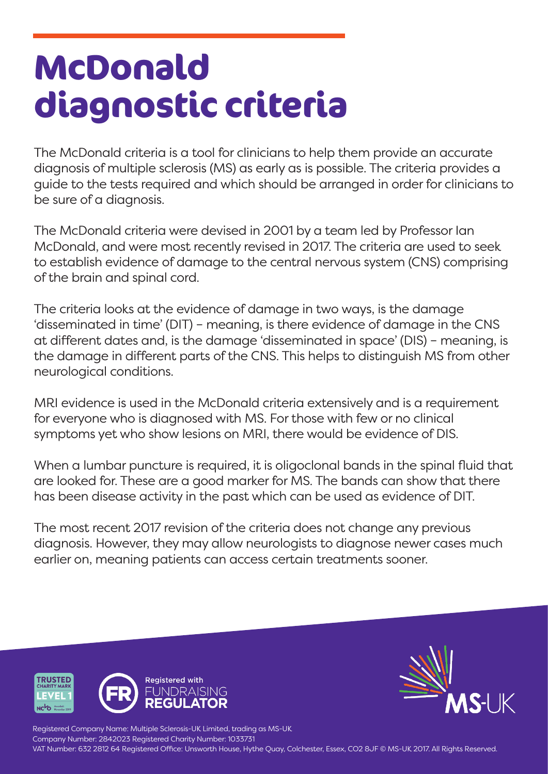## **McDonald diagnostic criteria**

The McDonald criteria is a tool for clinicians to help them provide an accurate diagnosis of multiple sclerosis (MS) as early as is possible. The criteria provides a guide to the tests required and which should be arranged in order for clinicians to be sure of a diagnosis.

The McDonald criteria were devised in 2001 by a team led by Professor Ian McDonald, and were most recently revised in 2017. The criteria are used to seek to establish evidence of damage to the central nervous system (CNS) comprising of the brain and spinal cord.

The criteria looks at the evidence of damage in two ways, is the damage 'disseminated in time' (DIT) – meaning, is there evidence of damage in the CNS at different dates and, is the damage 'disseminated in space' (DIS) – meaning, is the damage in different parts of the CNS. This helps to distinguish MS from other neurological conditions.

MRI evidence is used in the McDonald criteria extensively and is a requirement for everyone who is diagnosed with MS. For those with few or no clinical symptoms yet who show lesions on MRI, there would be evidence of DIS.

When a lumbar puncture is required, it is oligoclonal bands in the spinal fluid that are looked for. These are a good marker for MS. The bands can show that there has been disease activity in the past which can be used as evidence of DIT.

The most recent 2017 revision of the criteria does not change any previous diagnosis. However, they may allow neurologists to diagnose newer cases much earlier on, meaning patients can access certain treatments sooner.





Registered Company Name: Multiple Sclerosis-UK Limited, trading as MS-UK Company Number: 2842023 Registered Charity Number: 1033731 VAT Number: 632 2812 64 Registered Office: Unsworth House, Hythe Quay, Colchester, Essex, CO2 8JF © MS-UK 2017. All Rights Reserved.